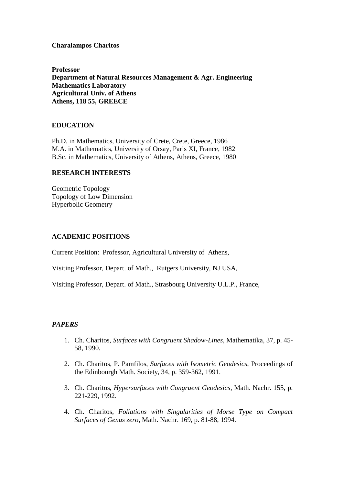## **Charalampos Charitos**

**Professor Department of Natural Resources Management & Agr. Engineering Mathematics Laboratory Agricultural Univ. of Athens Athens, 118 55, GREECE**

## **EDUCATION**

Ph.D. in Mathematics, University of Crete, Crete, Greece, 1986 M.A. in Mathematics, University of Orsay, Paris XI, France, 1982 B.Sc. in Mathematics, University of Athens, Athens, Greece, 1980

#### **RESEARCH INTERESTS**

Geometric Topology Topology of Low Dimension Hyperbolic Geometry

#### **ACADEMIC POSITIONS**

Current Position: Professor, Agricultural University of Athens,

Visiting Professor, Depart. of Math., Rutgers University, NJ USA,

Visiting Professor, Depart. of Math., Strasbourg University U.L.P., France,

## *PAPERS*

- 1. Ch. Charitos, *Surfaces with Congruent Shadow-Lines*, Mathematika, 37, p. 45- 58, 1990.
- 2. Ch. Charitos, P. Pamfilos, *Surfaces with Isometric Geodesics*, Proceedings of the Edinbourgh Math. Society, 34, p. 359-362, 1991.
- 3. Ch. Charitos, *Hypersurfaces with Congruent Geodesics*, Math. Nachr. 155, p. 221-229, 1992.
- 4. Ch. Charitos, *Foliations with Singularities of Morse Type on Compact Surfaces of Genus zero*, Math. Nachr. 169, p. 81-88, 1994.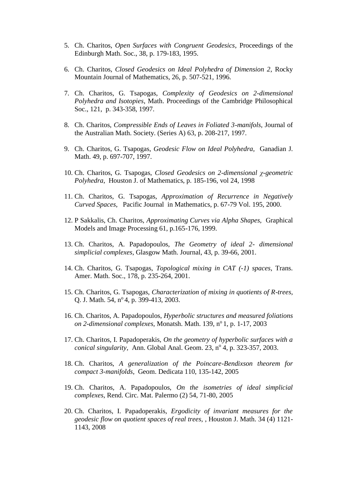- 5. Ch. Charitos, *Open Surfaces with Congruent Geodesics*, Proceedings of the Edinburgh Math. Soc., 38, p. 179-183, 1995.
- 6. Ch. Charitos, *Closed Geodesics on Ideal Polyhedra of Dimension 2*, Rocky Mountain Journal of Mathematics, 26, p. 507-521, 1996.
- 7. Ch. Charitos, G. Tsapogas, *Complexity of Geodesics on 2-dimensional Polyhedra and Isotopies*, Math. Proceedings of the Cambridge Philosophical Soc., 121, p. 343-358, 1997.
- 8. Ch. Charitos, *Compressible Ends of Leaves in Foliated 3-manifols*, Journal of the Australian Math. Society. (Series A) 63, p. 208-217, 1997.
- 9. Ch. Charitos, G. Tsapogas, *Geodesic Flow on Ideal Polyhedra,* Ganadian J. Math. 49, p. 697-707, 1997.
- 10. Ch. Charitos, G. Tsapogas, *Closed Geodesics on 2-dimensional χ-geometric Polyhedra*, Houston J. of Mathematics, p. 185-196, vol 24, 1998
- 11. Ch. Charitos, G. Tsapogas, *Approximation of Recurrence in Negatively Curved Spaces*, Pacific Journal in Mathematics, p. 67-79 Vol. 195, 2000.
- 12. P Sakkalis, Ch. Charitos, *Approximating Curves via Alpha Shapes,* Graphical Models and Image Processing 61, p.165-176, 1999.
- 13. Ch. Charitos, A. Papadopoulos, *The Geometry of ideal 2- dimensional simplicial complexes*, Glasgow Math. Journal, 43, p. 39-66, 2001.
- 14. Ch. Charitos, G. Tsapogas, *Topological mixing in CAT (-1) spaces*, Trans. Amer. Math. Soc., 178, p. 235-264, 2001.
- 15. Ch. Charitos, G. Tsapogas, *Characterization of mixing in quotients of R-trees,*  Q. J. Math. 54, nº 4, p. 399-413, 2003.
- 16. Ch. Charitos, A. Papadopoulos, *Hyperbolic structures and measured foliations on 2-dimensional complexes, Monatsh. Math.* 139, n<sup>o</sup> 1, p. 1-17, 2003
- 17. Ch. Charitos, I. Papadoperakis, *On the geometry of hyperbolic surfaces with a*  conical singularity, Ann. Global Anal. Geom. 23, nº 4, p. 323-357, 2003.
- 18. Ch. Charitos, *A generalization of the Poincare-Bendixson theorem for compact 3-manifolds*, Geom. Dedicata 110, 135-142, 2005
- 19. Ch. Charitos, A. Papadopoulos, *On the isometries of ideal simplicial complexes*, Rend. Circ. Mat. Palermo (2) 54, 71-80, 2005
- 20. Ch. Charitos, I. Papadoperakis, *Ergodicity of invariant measures for the geodesic flow on quotient spaces of real trees,* , Houston J. Math. 34 (4) 1121- 1143, 2008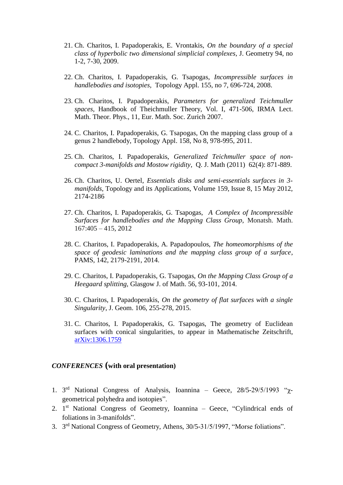- 21. Ch. Charitos, I. Papadoperakis, E. Vrontakis, *On the boundary of a special class of hyperbolic two dimensional simplicial complexes*, J. Geometry 94, no 1-2, 7-30, 2009.
- 22. Ch. Charitos, I. Papadoperakis, G. Tsapogas, *Incompressible surfaces in handlebodies and isotopies,* Topology Appl. 155, no 7, 696-724, 2008.
- 23. Ch. Charitos, I. Papadoperakis, *Parameters for generalized Teichmuller spaces,* Handbook of Theichmuller Theory, Vol. I, 471-506, IRMA Lect. Math. Theor. Phys., 11, Eur. Math. Soc. Zurich 2007.
- 24. C. Charitos, I. Papadoperakis, G. Tsapogas, On the mapping class group of a genus 2 handlebody, Topology Appl. 158, No 8, 978-995, 2011.
- 25. Ch. Charitos, I. Papadoperakis, *Generalized Teichmuller space of noncompact 3-manifolds and Mostow rigidity*, Q. J. Math (2011) 62(4): 871-889.
- 26. Ch. Charitos, U. Oertel, *Essentials disks and semi-essentials surfaces in 3 manifolds,* Topology and its Applications, Volume 159, Issue 8, 15 May 2012, 2174-2186
- 27. Ch. Charitos, I. Papadoperakis, G. Tsapogas, *A Complex of Incompressible Surfaces for handlebodies and the Mapping Class Group,* Monatsh. Math. 167:405 – 415*,* 2012
- 28. C. Charitos, I. Papadoperakis, A. Papadopoulos, *The homeomorphisms of the space of geodesic laminations and the mapping class group of a surface*, PAMS, 142, 2179-2191, 2014.
- 29. C. Charitos, I. Papadoperakis, G. Tsapogas, *On the Mapping Class Group of a Heegaard splitting,* Glasgow J. of Math. 56, 93-101, 2014.
- 30. C. Charitos, I. Papadoperakis, *On the geometry of flat surfaces with a single Singularity*, J. Geom. 106, 255-278, 2015.
- 31. C. Charitos, I. Papadoperakis, G. Tsapogas, The geometry of Euclidean surfaces with conical singularities, to appear in Mathematische Zeitschrift, [arXiv:1306.1759](http://arxiv.org/abs/1306.1759)

# *CONFERENCES* **(with oral presentation)**

- 1. 3<sup>rd</sup> National Congress of Analysis, Ioannina Geece, 28/5-29/5/1993 "χgeometrical polyhedra and isotopies".
- 2. 1<sup>st</sup> National Congress of Geometry, Ioannina Geece, "Cylindrical ends of foliations in 3-manifolds".
- 3. 3<sup>rd</sup> National Congress of Geometry, Athens, 30/5-31/5/1997, "Morse foliations".